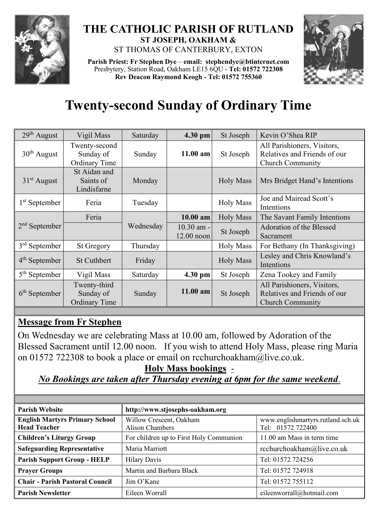

## **THE CATHOLIC PARISH OF RUTLAND ST JOSEPH, OAKHAM &**  ST THOMAS OF CANTERBURY, EXTON

**Parish Priest: Fr Stephen Dye** – **[email: stephendye@btinternet.com](mailto:email:%20%20stephendye@btinternet.com)** Presbytery, Station Road, Oakham LE15 6QU - **Tel: 01572 722308 Rev Deacon Raymond Keogh - Tel: 01572 755360**



## **Twenty-second Sunday of Ordinary Time**

| $29th$ August             | Vigil Mass                                        | Saturday  | 4.30 pm                      | St Joseph        | Kevin O'Shea RIP                                                                       |
|---------------------------|---------------------------------------------------|-----------|------------------------------|------------------|----------------------------------------------------------------------------------------|
| $30th$ August             | Twenty-second<br>Sunday of<br>Ordinary Time       | Sunday    | 11.00 am                     | St Joseph        | All Parishioners, Visitors,<br>Relatives and Friends of our<br><b>Church Community</b> |
| $31st$ August             | St Aidan and<br>Saints of<br>Lindisfarne          | Monday    |                              | <b>Holy Mass</b> | Mrs Bridget Hand's Intentions                                                          |
| 1 <sup>st</sup> September | Feria                                             | Tuesday   |                              | <b>Holy Mass</b> | Joe and Mairead Scott's<br>Intentions                                                  |
| $2nd$ September           | Feria                                             | Wednesday | 10.00 am                     | <b>Holy Mass</b> | The Savant Family Intentions                                                           |
|                           |                                                   |           | $10.30$ am -<br>$12.00$ noon | St Joseph        | Adoration of the Blessed<br>Sacrament                                                  |
| $3rd$ September           | <b>St Gregory</b>                                 | Thursday  |                              | <b>Holy Mass</b> | For Bethany (In Thanksgiving)                                                          |
| $4th$ September           | <b>St Cuthbert</b>                                | Friday    |                              | <b>Holy Mass</b> | Lesley and Chris Knowland's<br>Intentions                                              |
| $5th$ September           | Vigil Mass                                        | Saturday  | 4.30 pm                      | St Joseph        | Zena Tookey and Family                                                                 |
| $6th$ September           | Twenty-third<br>Sunday of<br><b>Ordinary Time</b> | Sunday    | $11.00$ am                   | St Joseph        | All Parishioners, Visitors,<br>Relatives and Friends of our<br><b>Church Community</b> |

## **Message from Fr Stephen**

On Wednesday we are celebrating Mass at 10.00 am, followed by Adoration of the Blessed Sacrament until 12.00 noon. If you wish to attend Holy Mass, please ring Maria on 01572 722308 to book a place or email on [rcchurchoakham@live.co.uk.](mailto:rcchurchoakham@live.co.uk)

**Holy Mass bookings** -

## *No Bookings are taken after Thursday evening at 6pm for the same weekend*.

| <b>Parish Website</b>                                        | http://www.stjosephs-oakham.org                   |                                                        |  |  |
|--------------------------------------------------------------|---------------------------------------------------|--------------------------------------------------------|--|--|
| <b>English Martyrs Primary School</b><br><b>Head Teacher</b> | Willow Crescent, Oakham<br><b>Alison Chambers</b> | www.englishmartyrs.rutland.sch.uk<br>Tel: 01572 722400 |  |  |
| <b>Children's Liturgy Group</b>                              | For children up to First Holy Communion           | 11.00 am Mass in term time                             |  |  |
| <b>Safeguarding Representative</b>                           | Maria Marriott                                    | rcchurchoakham@live.co.uk                              |  |  |
| <b>Parish Support Group - HELP</b>                           | <b>Hilary Davis</b>                               | Tel: 01572 724256                                      |  |  |
| <b>Prayer Groups</b>                                         | Martin and Barbara Black                          | Tel: 01572 724918                                      |  |  |
| <b>Chair - Parish Pastoral Council</b>                       | Jim O'Kane                                        | Tel: 01572 755112                                      |  |  |
| <b>Parish Newsletter</b>                                     | Eileen Worrall                                    | eileenworrall@hotmail.com                              |  |  |